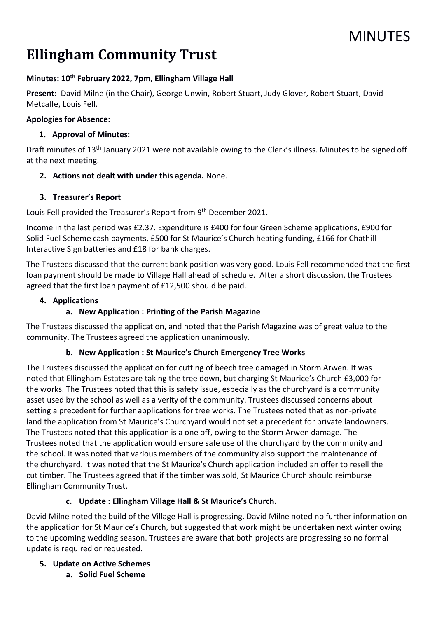# **MINUTES**

# Ellingham Community Trust

# Minutes: 10th February 2022, 7pm, Ellingham Village Hall

Present: David Milne (in the Chair), George Unwin, Robert Stuart, Judy Glover, Robert Stuart, David Metcalfe, Louis Fell.

## Apologies for Absence:

## 1. Approval of Minutes:

Draft minutes of 13th January 2021 were not available owing to the Clerk's illness. Minutes to be signed off at the next meeting.

## 2. Actions not dealt with under this agenda. None.

## 3. Treasurer's Report

Louis Fell provided the Treasurer's Report from 9<sup>th</sup> December 2021.

Income in the last period was £2.37. Expenditure is £400 for four Green Scheme applications, £900 for Solid Fuel Scheme cash payments, £500 for St Maurice's Church heating funding, £166 for Chathill Interactive Sign batteries and £18 for bank charges.

The Trustees discussed that the current bank position was very good. Louis Fell recommended that the first loan payment should be made to Village Hall ahead of schedule. After a short discussion, the Trustees agreed that the first loan payment of £12,500 should be paid.

## 4. Applications

# a. New Application : Printing of the Parish Magazine

The Trustees discussed the application, and noted that the Parish Magazine was of great value to the community. The Trustees agreed the application unanimously.

# b. New Application : St Maurice's Church Emergency Tree Works

The Trustees discussed the application for cutting of beech tree damaged in Storm Arwen. It was noted that Ellingham Estates are taking the tree down, but charging St Maurice's Church £3,000 for the works. The Trustees noted that this is safety issue, especially as the churchyard is a community asset used by the school as well as a verity of the community. Trustees discussed concerns about setting a precedent for further applications for tree works. The Trustees noted that as non-private land the application from St Maurice's Churchyard would not set a precedent for private landowners. The Trustees noted that this application is a one off, owing to the Storm Arwen damage. The Trustees noted that the application would ensure safe use of the churchyard by the community and the school. It was noted that various members of the community also support the maintenance of the churchyard. It was noted that the St Maurice's Church application included an offer to resell the cut timber. The Trustees agreed that if the timber was sold, St Maurice Church should reimburse Ellingham Community Trust.

# c. Update : Ellingham Village Hall & St Maurice's Church.

David Milne noted the build of the Village Hall is progressing. David Milne noted no further information on the application for St Maurice's Church, but suggested that work might be undertaken next winter owing to the upcoming wedding season. Trustees are aware that both projects are progressing so no formal update is required or requested.

- 5. Update on Active Schemes
	- a. Solid Fuel Scheme